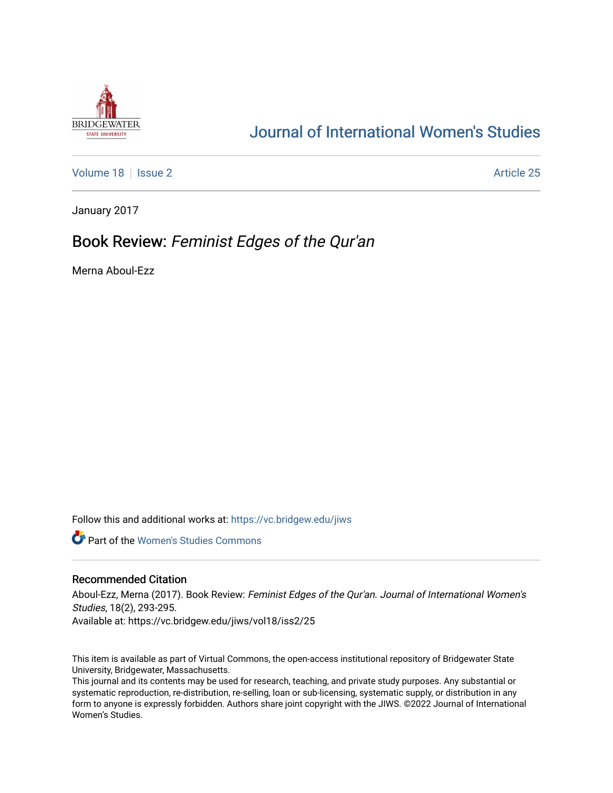

# [Journal of International Women's Studies](https://vc.bridgew.edu/jiws)

[Volume 18](https://vc.bridgew.edu/jiws/vol18) | [Issue 2](https://vc.bridgew.edu/jiws/vol18/iss2) Article 25

January 2017

## Book Review: Feminist Edges of the Qur'an

Merna Aboul-Ezz

Follow this and additional works at: [https://vc.bridgew.edu/jiws](https://vc.bridgew.edu/jiws?utm_source=vc.bridgew.edu%2Fjiws%2Fvol18%2Fiss2%2F25&utm_medium=PDF&utm_campaign=PDFCoverPages)

**C** Part of the Women's Studies Commons

### Recommended Citation

Aboul-Ezz, Merna (2017). Book Review: Feminist Edges of the Qur'an. Journal of International Women's Studies, 18(2), 293-295. Available at: https://vc.bridgew.edu/jiws/vol18/iss2/25

This item is available as part of Virtual Commons, the open-access institutional repository of Bridgewater State University, Bridgewater, Massachusetts.

This journal and its contents may be used for research, teaching, and private study purposes. Any substantial or systematic reproduction, re-distribution, re-selling, loan or sub-licensing, systematic supply, or distribution in any form to anyone is expressly forbidden. Authors share joint copyright with the JIWS. ©2022 Journal of International Women's Studies.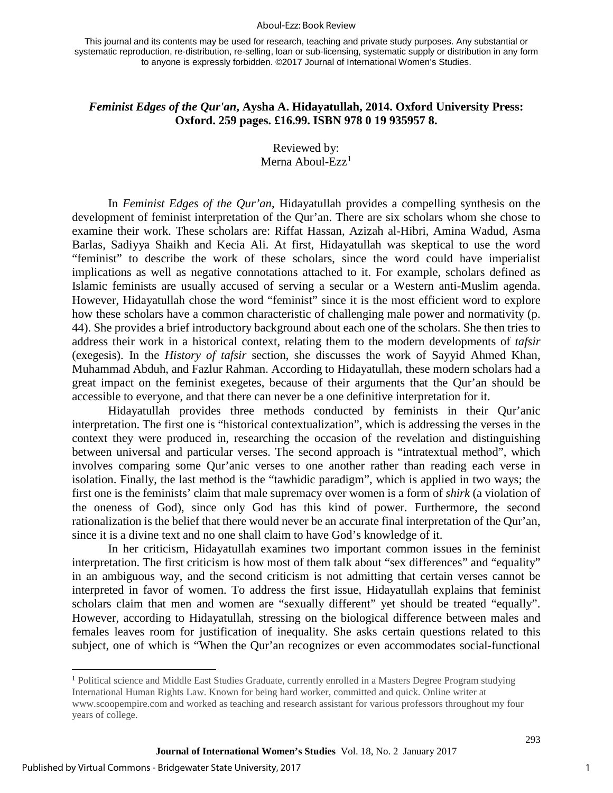#### Aboul-Ezz: Book Review

This journal and its contents may be used for research, teaching and private study purposes. Any substantial or systematic reproduction, re-distribution, re-selling, loan or sub-licensing, systematic supply or distribution in any form to anyone is expressly forbidden. ©2017 Journal of International Women's Studies.

## *Feminist Edges of the Qur'an***, Aysha A. Hidayatullah, 2014. Oxford University Press: Oxford. 259 pages. £16.99. ISBN 978 0 19 935957 8.**

Reviewed by: Merna Aboul-Ezz $<sup>1</sup>$  $<sup>1</sup>$  $<sup>1</sup>$ </sup>

In *Feminist Edges of the Qur'an*, Hidayatullah provides a compelling synthesis on the development of feminist interpretation of the Qur'an. There are six scholars whom she chose to examine their work. These scholars are: Riffat Hassan, Azizah al-Hibri, Amina Wadud, Asma Barlas, Sadiyya Shaikh and Kecia Ali. At first, Hidayatullah was skeptical to use the word "feminist" to describe the work of these scholars, since the word could have imperialist implications as well as negative connotations attached to it. For example, scholars defined as Islamic feminists are usually accused of serving a secular or a Western anti-Muslim agenda. However, Hidayatullah chose the word "feminist" since it is the most efficient word to explore how these scholars have a common characteristic of challenging male power and normativity (p. 44). She provides a brief introductory background about each one of the scholars. She then tries to address their work in a historical context, relating them to the modern developments of *tafsir* (exegesis). In the *History of tafsir* section, she discusses the work of Sayyid Ahmed Khan, Muhammad Abduh, and Fazlur Rahman. According to Hidayatullah, these modern scholars had a great impact on the feminist exegetes, because of their arguments that the Qur'an should be accessible to everyone, and that there can never be a one definitive interpretation for it.

Hidayatullah provides three methods conducted by feminists in their Qur'anic interpretation. The first one is "historical contextualization", which is addressing the verses in the context they were produced in, researching the occasion of the revelation and distinguishing between universal and particular verses. The second approach is "intratextual method", which involves comparing some Qur'anic verses to one another rather than reading each verse in isolation. Finally, the last method is the "tawhidic paradigm", which is applied in two ways; the first one is the feminists' claim that male supremacy over women is a form of *shirk* (a violation of the oneness of God), since only God has this kind of power. Furthermore, the second rationalization is the belief that there would never be an accurate final interpretation of the Qur'an, since it is a divine text and no one shall claim to have God's knowledge of it.

In her criticism, Hidayatullah examines two important common issues in the feminist interpretation. The first criticism is how most of them talk about "sex differences" and "equality" in an ambiguous way, and the second criticism is not admitting that certain verses cannot be interpreted in favor of women. To address the first issue, Hidayatullah explains that feminist scholars claim that men and women are "sexually different" yet should be treated "equally". However, according to Hidayatullah, stressing on the biological difference between males and females leaves room for justification of inequality. She asks certain questions related to this subject, one of which is "When the Qur'an recognizes or even accommodates social-functional

 $\overline{1}$ 

1

293

<span id="page-1-0"></span><sup>&</sup>lt;sup>1</sup> Political science and Middle East Studies Graduate, currently enrolled in a Masters Degree Program studying International Human Rights Law. Known for being hard worker, committed and quick. Online writer at www.scoopempire.com and worked as teaching and research assistant for various professors throughout my four years of college.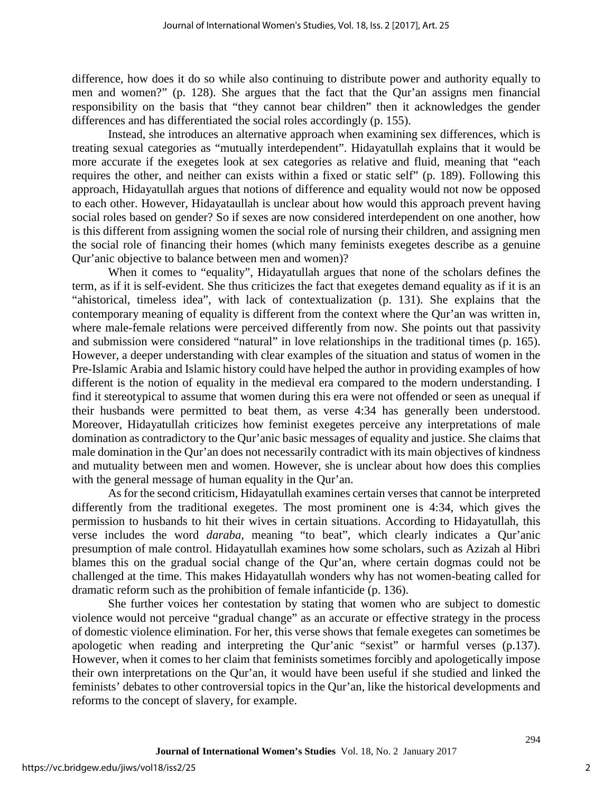difference, how does it do so while also continuing to distribute power and authority equally to men and women?" (p. 128). She argues that the fact that the Qur'an assigns men financial responsibility on the basis that "they cannot bear children" then it acknowledges the gender differences and has differentiated the social roles accordingly (p. 155).

Instead, she introduces an alternative approach when examining sex differences, which is treating sexual categories as "mutually interdependent". Hidayatullah explains that it would be more accurate if the exegetes look at sex categories as relative and fluid, meaning that "each requires the other, and neither can exists within a fixed or static self" (p. 189). Following this approach, Hidayatullah argues that notions of difference and equality would not now be opposed to each other. However, Hidayataullah is unclear about how would this approach prevent having social roles based on gender? So if sexes are now considered interdependent on one another, how is this different from assigning women the social role of nursing their children, and assigning men the social role of financing their homes (which many feminists exegetes describe as a genuine Qur'anic objective to balance between men and women)?

When it comes to "equality", Hidayatullah argues that none of the scholars defines the term, as if it is self-evident. She thus criticizes the fact that exegetes demand equality as if it is an "ahistorical, timeless idea", with lack of contextualization (p. 131). She explains that the contemporary meaning of equality is different from the context where the Qur'an was written in, where male-female relations were perceived differently from now. She points out that passivity and submission were considered "natural" in love relationships in the traditional times (p. 165). However, a deeper understanding with clear examples of the situation and status of women in the Pre-Islamic Arabia and Islamic history could have helped the author in providing examples of how different is the notion of equality in the medieval era compared to the modern understanding. I find it stereotypical to assume that women during this era were not offended or seen as unequal if their husbands were permitted to beat them, as verse 4:34 has generally been understood. Moreover, Hidayatullah criticizes how feminist exegetes perceive any interpretations of male domination as contradictory to the Qur'anic basic messages of equality and justice. She claims that male domination in the Qur'an does not necessarily contradict with its main objectives of kindness and mutuality between men and women. However, she is unclear about how does this complies with the general message of human equality in the Qur'an.

As for the second criticism, Hidayatullah examines certain verses that cannot be interpreted differently from the traditional exegetes. The most prominent one is 4:34, which gives the permission to husbands to hit their wives in certain situations. According to Hidayatullah, this verse includes the word *daraba,* meaning "to beat", which clearly indicates a Qur'anic presumption of male control. Hidayatullah examines how some scholars, such as Azizah al Hibri blames this on the gradual social change of the Qur'an, where certain dogmas could not be challenged at the time. This makes Hidayatullah wonders why has not women-beating called for dramatic reform such as the prohibition of female infanticide (p. 136).

She further voices her contestation by stating that women who are subject to domestic violence would not perceive "gradual change" as an accurate or effective strategy in the process of domestic violence elimination. For her, this verse shows that female exegetes can sometimes be apologetic when reading and interpreting the Qur'anic "sexist" or harmful verses (p.137). However, when it comes to her claim that feminists sometimes forcibly and apologetically impose their own interpretations on the Qur'an, it would have been useful if she studied and linked the feminists' debates to other controversial topics in the Qur'an, like the historical developments and reforms to the concept of slavery, for example.

294